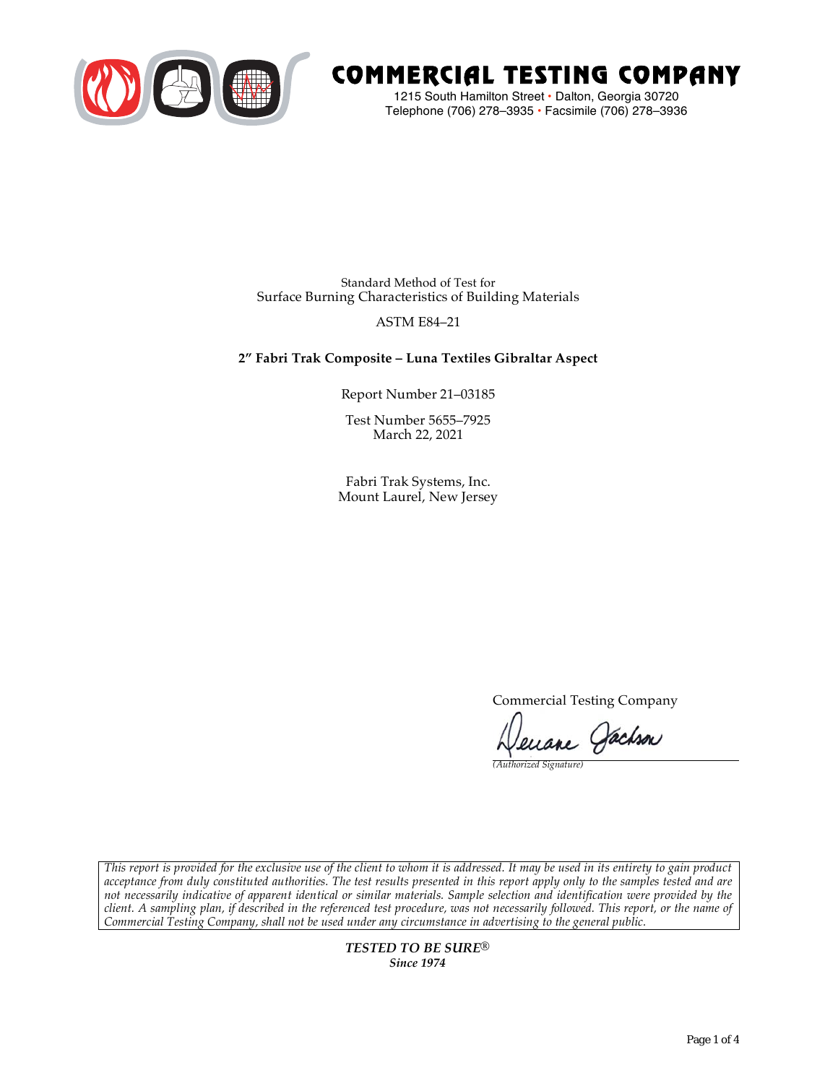

# COMMERCIAL TESTING COMPANY

1215 South Hamilton Street • Dalton, Georgia 30720 Telephone (706) 278–3935 **•** Facsimile (706) 278–3936

Standard Method of Test for Surface Burning Characteristics of Building Materials

# ASTM E84–21

# **2" Fabri Trak Composite – Luna Textiles Gibraltar Aspect**

Report Number 21–03185

Test Number 5655–7925 March 22, 2021

Fabri Trak Systems, Inc. Mount Laurel, New Jersey

Commercial Testing Company

enane Jachson

*(Authorized Signature)* 

*This report is provided for the exclusive use of the client to whom it is addressed. It may be used in its entirety to gain product acceptance from duly constituted authorities. The test results presented in this report apply only to the samples tested and are not necessarily indicative of apparent identical or similar materials. Sample selection and identification were provided by the client. A sampling plan, if described in the referenced test procedure, was not necessarily followed. This report, or the name of Commercial Testing Company, shall not be used under any circumstance in advertising to the general public.* 

> *TESTED TO BE SURE® Since 1974*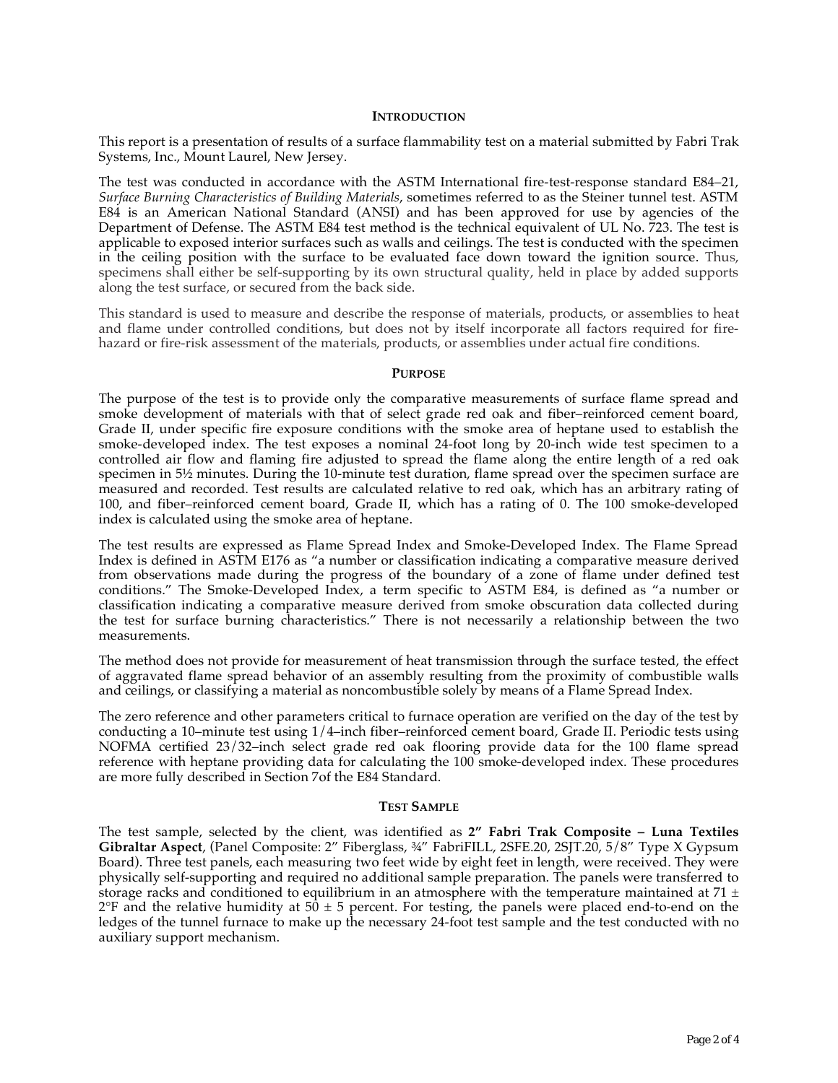## **INTRODUCTION**

This report is a presentation of results of a surface flammability test on a material submitted by Fabri Trak Systems, Inc., Mount Laurel, New Jersey.

The test was conducted in accordance with the ASTM International fire-test-response standard E84–21, *Surface Burning Characteristics of Building Materials*, sometimes referred to as the Steiner tunnel test. ASTM E84 is an American National Standard (ANSI) and has been approved for use by agencies of the Department of Defense. The ASTM E84 test method is the technical equivalent of UL No. 723. The test is applicable to exposed interior surfaces such as walls and ceilings. The test is conducted with the specimen in the ceiling position with the surface to be evaluated face down toward the ignition source. Thus, specimens shall either be self-supporting by its own structural quality, held in place by added supports along the test surface, or secured from the back side.

This standard is used to measure and describe the response of materials, products, or assemblies to heat and flame under controlled conditions, but does not by itself incorporate all factors required for firehazard or fire-risk assessment of the materials, products, or assemblies under actual fire conditions.

#### **PURPOSE**

The purpose of the test is to provide only the comparative measurements of surface flame spread and smoke development of materials with that of select grade red oak and fiber–reinforced cement board, Grade II, under specific fire exposure conditions with the smoke area of heptane used to establish the smoke-developed index. The test exposes a nominal 24-foot long by 20-inch wide test specimen to a controlled air flow and flaming fire adjusted to spread the flame along the entire length of a red oak specimen in  $5\frac{1}{2}$  minutes. During the 10-minute test duration, flame spread over the specimen surface are measured and recorded. Test results are calculated relative to red oak, which has an arbitrary rating of 100, and fiber–reinforced cement board, Grade II, which has a rating of 0. The 100 smoke-developed index is calculated using the smoke area of heptane.

The test results are expressed as Flame Spread Index and Smoke-Developed Index. The Flame Spread Index is defined in ASTM E176 as "a number or classification indicating a comparative measure derived from observations made during the progress of the boundary of a zone of flame under defined test conditions." The Smoke-Developed Index, a term specific to ASTM E84, is defined as "a number or classification indicating a comparative measure derived from smoke obscuration data collected during the test for surface burning characteristics." There is not necessarily a relationship between the two measurements.

The method does not provide for measurement of heat transmission through the surface tested, the effect of aggravated flame spread behavior of an assembly resulting from the proximity of combustible walls and ceilings, or classifying a material as noncombustible solely by means of a Flame Spread Index.

The zero reference and other parameters critical to furnace operation are verified on the day of the test by conducting a 10–minute test using 1/4–inch fiber–reinforced cement board, Grade II. Periodic tests using NOFMA certified 23/32–inch select grade red oak flooring provide data for the 100 flame spread reference with heptane providing data for calculating the 100 smoke-developed index. These procedures are more fully described in Section 7of the E84 Standard.

#### **TEST SAMPLE**

The test sample, selected by the client, was identified as **2" Fabri Trak Composite – Luna Textiles Gibraltar Aspect**, (Panel Composite: 2" Fiberglass, ¾" FabriFILL, 2SFE.20, 2SJT.20, 5/8" Type X Gypsum Board). Three test panels, each measuring two feet wide by eight feet in length, were received. They were physically self-supporting and required no additional sample preparation. The panels were transferred to storage racks and conditioned to equilibrium in an atmosphere with the temperature maintained at 71  $\pm$  $2^{\circ}F$  and the relative humidity at  $50 \pm 5$  percent. For testing, the panels were placed end-to-end on the ledges of the tunnel furnace to make up the necessary 24-foot test sample and the test conducted with no auxiliary support mechanism.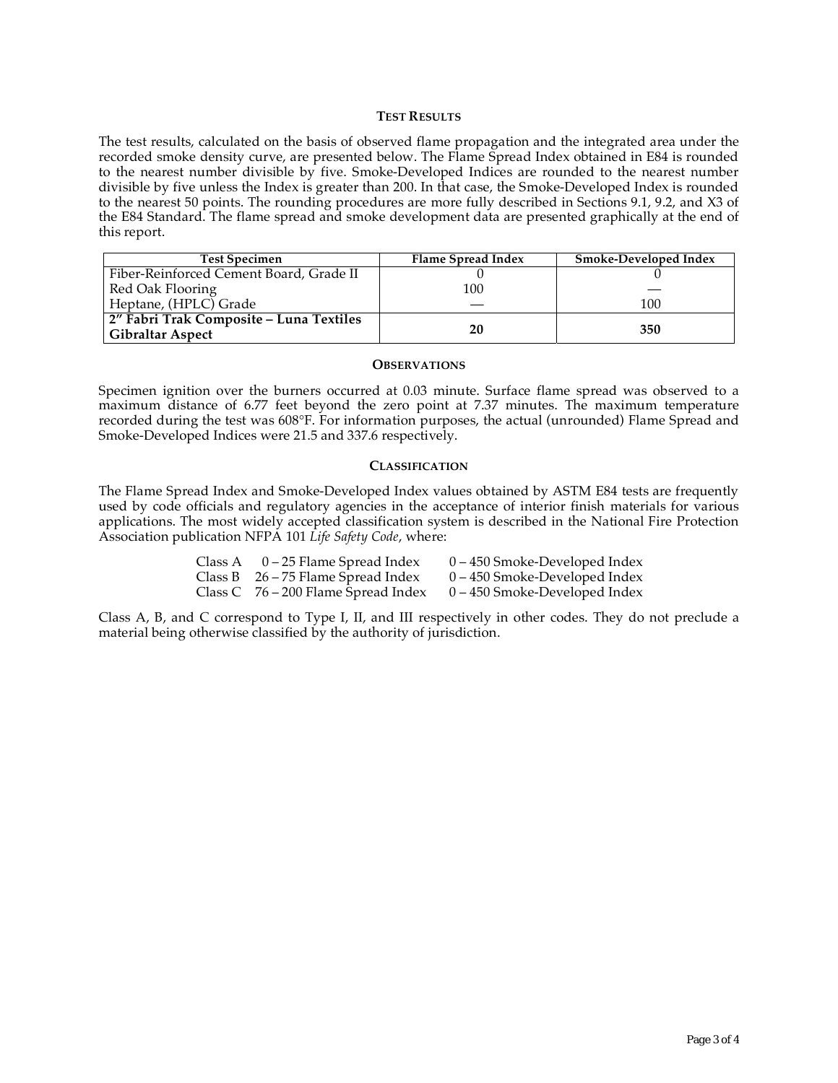## **TEST RESULTS**

The test results, calculated on the basis of observed flame propagation and the integrated area under the recorded smoke density curve, are presented below. The Flame Spread Index obtained in E84 is rounded to the nearest number divisible by five. Smoke-Developed Indices are rounded to the nearest number divisible by five unless the Index is greater than 200. In that case, the Smoke-Developed Index is rounded to the nearest 50 points. The rounding procedures are more fully described in Sections 9.1, 9.2, and X3 of the E84 Standard. The flame spread and smoke development data are presented graphically at the end of this report.

| <b>Test Specimen</b>                                               | Flame Spread Index | <b>Smoke-Developed Index</b> |
|--------------------------------------------------------------------|--------------------|------------------------------|
| Fiber-Reinforced Cement Board, Grade II                            |                    |                              |
| Red Oak Flooring                                                   | 100                |                              |
| Heptane, (HPLC) Grade                                              |                    | 100                          |
| 2" Fabri Trak Composite - Luna Textiles<br><b>Gibraltar Aspect</b> | 20                 | 350                          |

## **OBSERVATIONS**

Specimen ignition over the burners occurred at 0.03 minute. Surface flame spread was observed to a maximum distance of 6.77 feet beyond the zero point at 7.37 minutes. The maximum temperature recorded during the test was 608°F. For information purposes, the actual (unrounded) Flame Spread and Smoke-Developed Indices were 21.5 and 337.6 respectively.

## **CLASSIFICATION**

The Flame Spread Index and Smoke-Developed Index values obtained by ASTM E84 tests are frequently used by code officials and regulatory agencies in the acceptance of interior finish materials for various applications. The most widely accepted classification system is described in the National Fire Protection Association publication NFPA 101 *Life Safety Code*, where:

| Class A | 0 – 25 Flame Spread Index             | 0 – 450 Smoke-Developed Index   |
|---------|---------------------------------------|---------------------------------|
|         | Class B $26 - 75$ Flame Spread Index  | $0 - 450$ Smoke-Developed Index |
|         | Class C $76 - 200$ Flame Spread Index | $0 - 450$ Smoke-Developed Index |

Class A, B, and C correspond to Type I, II, and III respectively in other codes. They do not preclude a material being otherwise classified by the authority of jurisdiction.